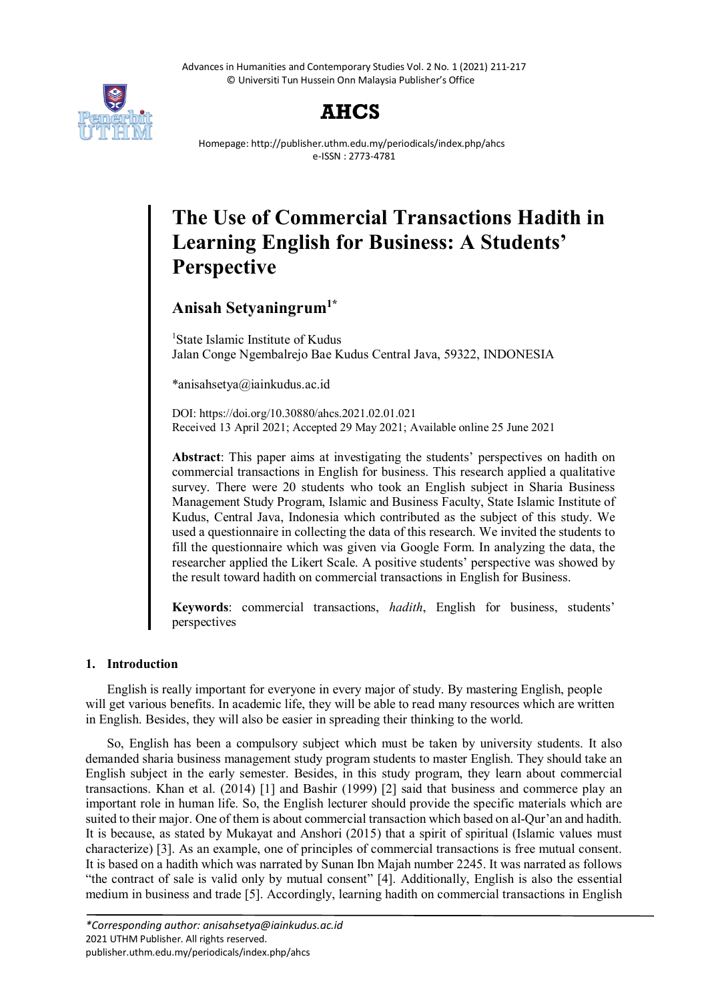Advances in Humanities and Contemporary Studies Vol. 2 No. 1 (2021) 211-217 © Universiti Tun Hussein Onn Malaysia Publisher's Office





Homepage: http://publisher.uthm.edu.my/periodicals/index.php/ahcs e-ISSN : 2773-4781

# **The Use of Commercial Transactions Hadith in Learning English for Business: A Students' Perspective**

# **Anisah Setyaningrum1\***

<sup>1</sup>State Islamic Institute of Kudus Jalan Conge Ngembalrejo Bae Kudus Central Java, 59322, INDONESIA

\*anisahsetya@iainkudus.ac.id

DOI: https://doi.org/10.30880/ahcs.2021.02.01.021 Received 13 April 2021; Accepted 29 May 2021; Available online 25 June 2021

**Abstract**: This paper aims at investigating the students' perspectives on hadith on commercial transactions in English for business. This research applied a qualitative survey. There were 20 students who took an English subject in Sharia Business Management Study Program, Islamic and Business Faculty, State Islamic Institute of Kudus, Central Java, Indonesia which contributed as the subject of this study. We used a questionnaire in collecting the data of this research. We invited the students to fill the questionnaire which was given via Google Form. In analyzing the data, the researcher applied the Likert Scale. A positive students' perspective was showed by the result toward hadith on commercial transactions in English for Business.

**Keywords**: commercial transactions, *hadith*, English for business, students' perspectives

# **1. Introduction**

English is really important for everyone in every major of study. By mastering English, people will get various benefits. In academic life, they will be able to read many resources which are written in English. Besides, they will also be easier in spreading their thinking to the world.

So, English has been a compulsory subject which must be taken by university students. It also demanded sharia business management study program students to master English. They should take an English subject in the early semester. Besides, in this study program, they learn about commercial transactions. Khan et al. (2014) [1] and Bashir (1999) [2] said that business and commerce play an important role in human life. So, the English lecturer should provide the specific materials which are suited to their major. One of them is about commercial transaction which based on al-Qur'an and hadith. It is because, as stated by Mukayat and Anshori (2015) that a spirit of spiritual (Islamic values must characterize) [3]. As an example, one of principles of commercial transactions is free mutual consent. It is based on a hadith which was narrated by Sunan Ibn Majah number 2245. It was narrated as follows "the contract of sale is valid only by mutual consent" [4]. Additionally, English is also the essential medium in business and trade [5]. Accordingly, learning hadith on commercial transactions in English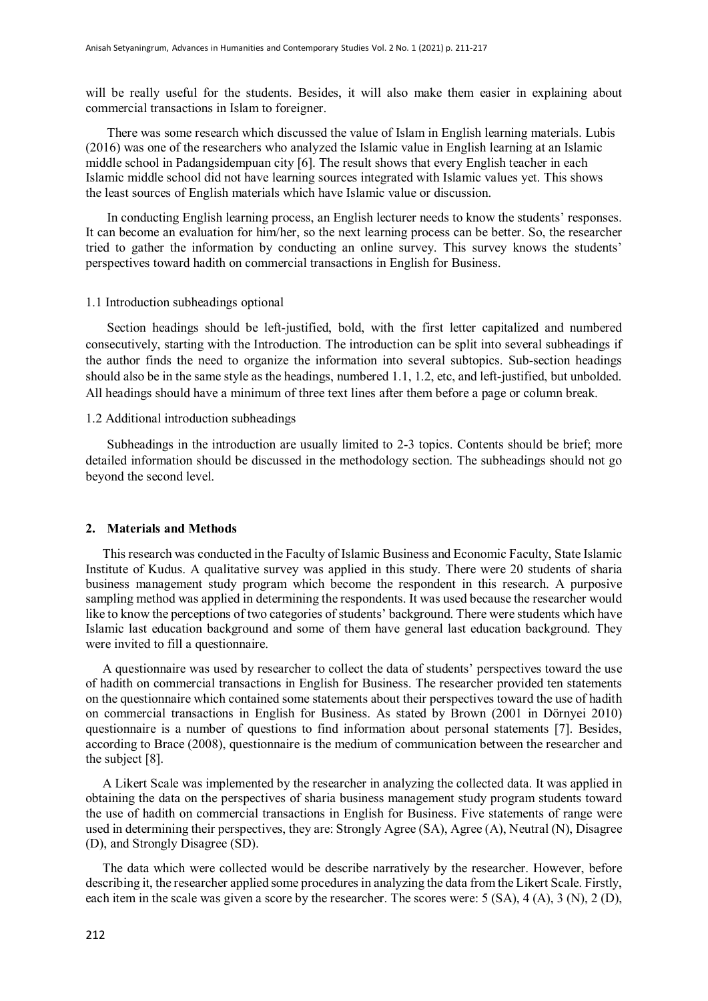will be really useful for the students. Besides, it will also make them easier in explaining about commercial transactions in Islam to foreigner.

There was some research which discussed the value of Islam in English learning materials. Lubis (2016) was one of the researchers who analyzed the Islamic value in English learning at an Islamic middle school in Padangsidempuan city [6]. The result shows that every English teacher in each Islamic middle school did not have learning sources integrated with Islamic values yet. This shows the least sources of English materials which have Islamic value or discussion.

In conducting English learning process, an English lecturer needs to know the students' responses. It can become an evaluation for him/her, so the next learning process can be better. So, the researcher tried to gather the information by conducting an online survey. This survey knows the students' perspectives toward hadith on commercial transactions in English for Business.

#### 1.1 Introduction subheadings optional

Section headings should be left-justified, bold, with the first letter capitalized and numbered consecutively, starting with the Introduction. The introduction can be split into several subheadings if the author finds the need to organize the information into several subtopics. Sub-section headings should also be in the same style as the headings, numbered 1.1, 1.2, etc, and left-justified, but unbolded. All headings should have a minimum of three text lines after them before a page or column break.

### 1.2 Additional introduction subheadings

Subheadings in the introduction are usually limited to 2-3 topics. Contents should be brief; more detailed information should be discussed in the methodology section. The subheadings should not go beyond the second level.

# **2. Materials and Methods**

This research was conducted in the Faculty of Islamic Business and Economic Faculty, State Islamic Institute of Kudus. A qualitative survey was applied in this study. There were 20 students of sharia business management study program which become the respondent in this research. A purposive sampling method was applied in determining the respondents. It was used because the researcher would like to know the perceptions of two categories of students' background. There were students which have Islamic last education background and some of them have general last education background. They were invited to fill a questionnaire.

A questionnaire was used by researcher to collect the data of students' perspectives toward the use of hadith on commercial transactions in English for Business. The researcher provided ten statements on the questionnaire which contained some statements about their perspectives toward the use of hadith on commercial transactions in English for Business. As stated by Brown (2001 in Dörnyei 2010) questionnaire is a number of questions to find information about personal statements [7]. Besides, according to Brace (2008), questionnaire is the medium of communication between the researcher and the subject [8].

A Likert Scale was implemented by the researcher in analyzing the collected data. It was applied in obtaining the data on the perspectives of sharia business management study program students toward the use of hadith on commercial transactions in English for Business. Five statements of range were used in determining their perspectives, they are: Strongly Agree (SA), Agree (A), Neutral (N), Disagree (D), and Strongly Disagree (SD).

The data which were collected would be describe narratively by the researcher. However, before describing it, the researcher applied some procedures in analyzing the data from the Likert Scale. Firstly, each item in the scale was given a score by the researcher. The scores were: 5 (SA), 4 (A), 3 (N), 2 (D),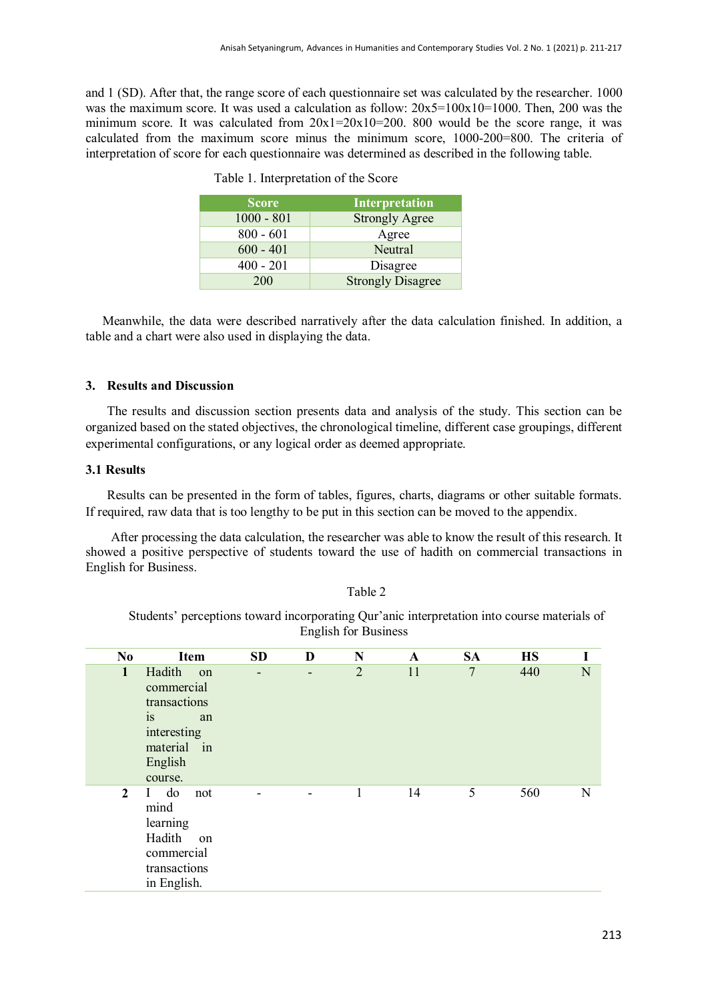and 1 (SD). After that, the range score of each questionnaire set was calculated by the researcher. 1000 was the maximum score. It was used a calculation as follow: 20x5=100x10=1000. Then, 200 was the minimum score. It was calculated from  $20x1=20x10=200$ . 800 would be the score range, it was calculated from the maximum score minus the minimum score, 1000-200=800. The criteria of interpretation of score for each questionnaire was determined as described in the following table.

| <b>Score</b> | Interpretation           |
|--------------|--------------------------|
| $1000 - 801$ | <b>Strongly Agree</b>    |
| $800 - 601$  | Agree                    |
| $600 - 401$  | Neutral                  |
| $400 - 201$  | Disagree                 |
| 200          | <b>Strongly Disagree</b> |

|  | Table 1. Interpretation of the Score |  |
|--|--------------------------------------|--|
|--|--------------------------------------|--|

Meanwhile, the data were described narratively after the data calculation finished. In addition, a table and a chart were also used in displaying the data.

# **3. Results and Discussion**

The results and discussion section presents data and analysis of the study. This section can be organized based on the stated objectives, the chronological timeline, different case groupings, different experimental configurations, or any logical order as deemed appropriate.

# **3.1 Results**

Results can be presented in the form of tables, figures, charts, diagrams or other suitable formats. If required, raw data that is too lengthy to be put in this section can be moved to the appendix.

After processing the data calculation, the researcher was able to know the result of this research. It showed a positive perspective of students toward the use of hadith on commercial transactions in English for Business.

Table 2

Students' perceptions toward incorporating Qur'anic interpretation into course materials of English for Business

| N <sub>0</sub> | Item                                                                                                    | <b>SD</b>                | D                        | N              | $\mathbf{A}$ | <b>SA</b>      | <b>HS</b> | I |
|----------------|---------------------------------------------------------------------------------------------------------|--------------------------|--------------------------|----------------|--------------|----------------|-----------|---|
| $\mathbf{1}$   | Hadith on<br>commercial<br>transactions<br>is<br>an<br>interesting<br>material in<br>English<br>course. | $\overline{\phantom{a}}$ | $\overline{\phantom{a}}$ | $\overline{2}$ | 11           | $\overline{7}$ | 440       | N |
| $\overline{2}$ | I do<br>not<br>mind<br>learning<br>Hadith<br>on<br>commercial<br>transactions<br>in English.            |                          |                          | 1              | 14           | 5              | 560       | N |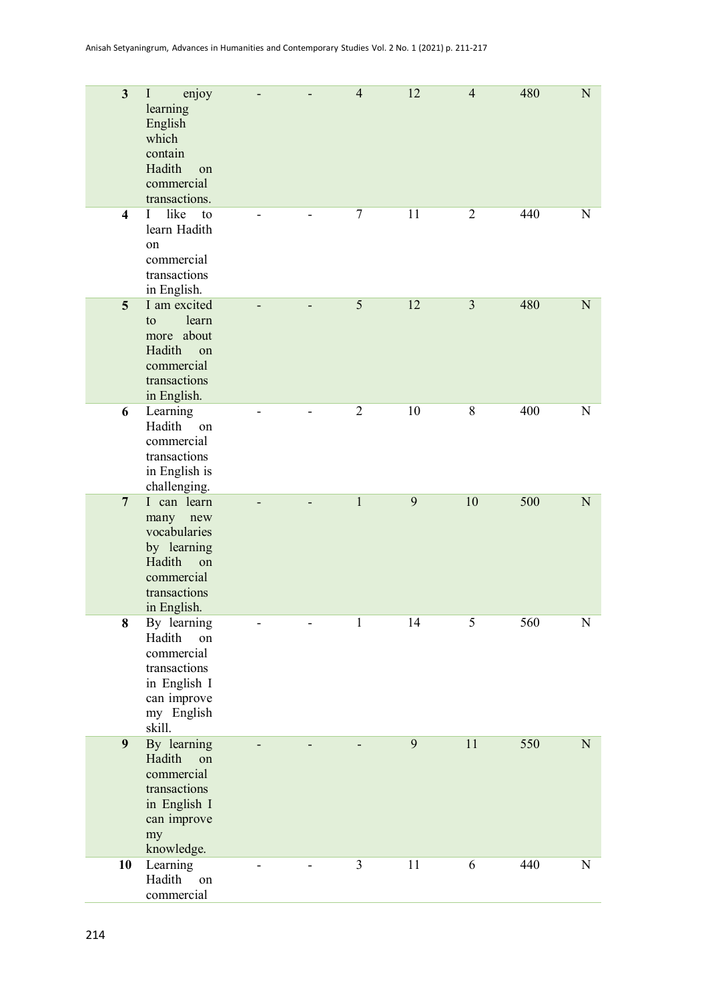| $\mathbf{3}$            | enjoy<br>I<br>learning<br>English<br>which<br>contain<br>Hadith<br>on<br>commercial<br>transactions.             |   | $\overline{4}$ | 12 | $\overline{4}$ | 480 | $\mathbf N$ |
|-------------------------|------------------------------------------------------------------------------------------------------------------|---|----------------|----|----------------|-----|-------------|
| $\overline{\mathbf{4}}$ | like<br>to<br>$\mathbf{I}$<br>learn Hadith<br>on<br>commercial<br>transactions<br>in English.                    |   | 7              | 11 | $\overline{2}$ | 440 | N           |
| 5                       | I am excited<br>learn<br>to<br>more about<br>Hadith<br>on<br>commercial<br>transactions<br>in English.           |   | 5              | 12 | $\overline{3}$ | 480 | N           |
| 6                       | Learning<br>Hadith<br>on<br>commercial<br>transactions<br>in English is<br>challenging.                          |   | $\overline{2}$ | 10 | $8\,$          | 400 | N           |
| $7\overline{ }$         | I can learn<br>many new<br>vocabularies<br>by learning<br>Hadith on<br>commercial<br>transactions<br>in English. | - | $\mathbf{1}$   | 9  | 10             | 500 | $\mathbf N$ |
| 8                       | By learning<br>Hadith<br>on<br>commercial<br>transactions<br>in English I<br>can improve<br>my English<br>skill. |   | 1              | 14 | 5              | 560 | N           |
| 9                       | By learning<br>Hadith<br>on<br>commercial<br>transactions<br>in English I<br>can improve<br>my<br>knowledge.     |   |                | 9  | 11             | 550 | ${\bf N}$   |
| 10                      | Learning<br>Hadith<br>on<br>commercial                                                                           |   | 3              | 11 | 6              | 440 | N           |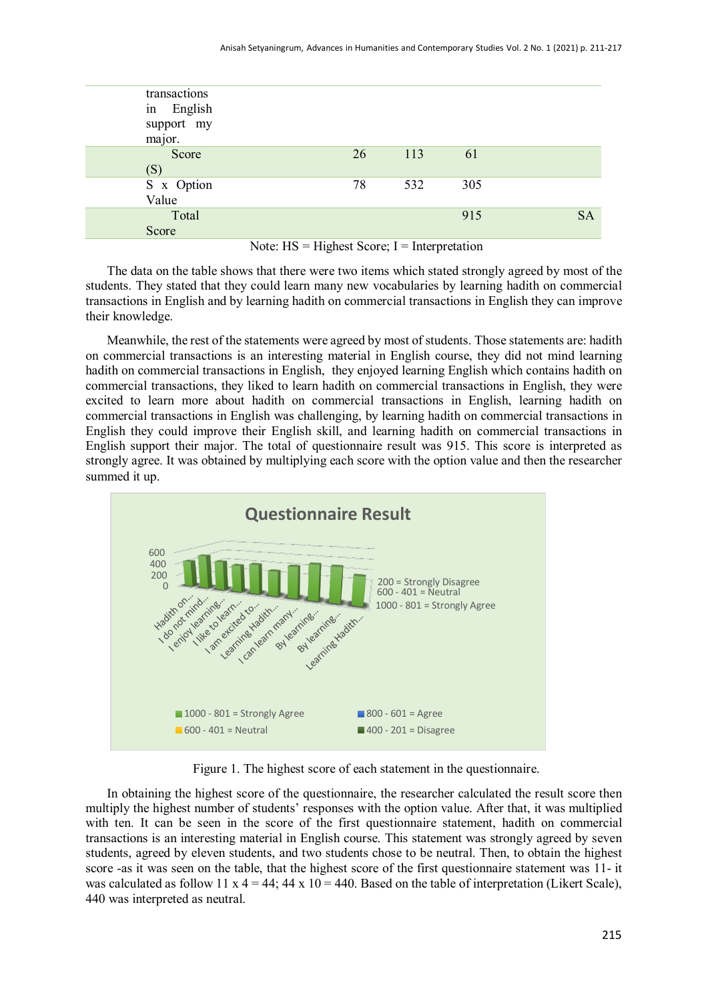| transactions |    |     |     |           |
|--------------|----|-----|-----|-----------|
| in English   |    |     |     |           |
| support my   |    |     |     |           |
| major.       |    |     |     |           |
| Score        | 26 | 113 | 61  |           |
| (S)          |    |     |     |           |
| S x Option   | 78 | 532 | 305 |           |
| Value        |    |     |     |           |
| Total        |    |     | 915 | <b>SA</b> |
| Score        |    |     |     |           |
|              |    |     |     |           |

Note:  $HS = H\text{ is the factor: } I = \text{Interpretation}$ 

The data on the table shows that there were two items which stated strongly agreed by most of the students. They stated that they could learn many new vocabularies by learning hadith on commercial transactions in English and by learning hadith on commercial transactions in English they can improve their knowledge.

Meanwhile, the rest of the statements were agreed by most of students. Those statements are: hadith on commercial transactions is an interesting material in English course, they did not mind learning hadith on commercial transactions in English, they enjoyed learning English which contains hadith on commercial transactions, they liked to learn hadith on commercial transactions in English, they were excited to learn more about hadith on commercial transactions in English, learning hadith on commercial transactions in English was challenging, by learning hadith on commercial transactions in English they could improve their English skill, and learning hadith on commercial transactions in English support their major. The total of questionnaire result was 915. This score is interpreted as strongly agree. It was obtained by multiplying each score with the option value and then the researcher summed it up.



Figure 1. The highest score of each statement in the questionnaire.

In obtaining the highest score of the questionnaire, the researcher calculated the result score then multiply the highest number of students' responses with the option value. After that, it was multiplied with ten. It can be seen in the score of the first questionnaire statement, hadith on commercial transactions is an interesting material in English course. This statement was strongly agreed by seven students, agreed by eleven students, and two students chose to be neutral. Then, to obtain the highest score -as it was seen on the table, that the highest score of the first questionnaire statement was 11- it was calculated as follow 11 x  $4 = 44$ ;  $44 \times 10 = 440$ . Based on the table of interpretation (Likert Scale), 440 was interpreted as neutral.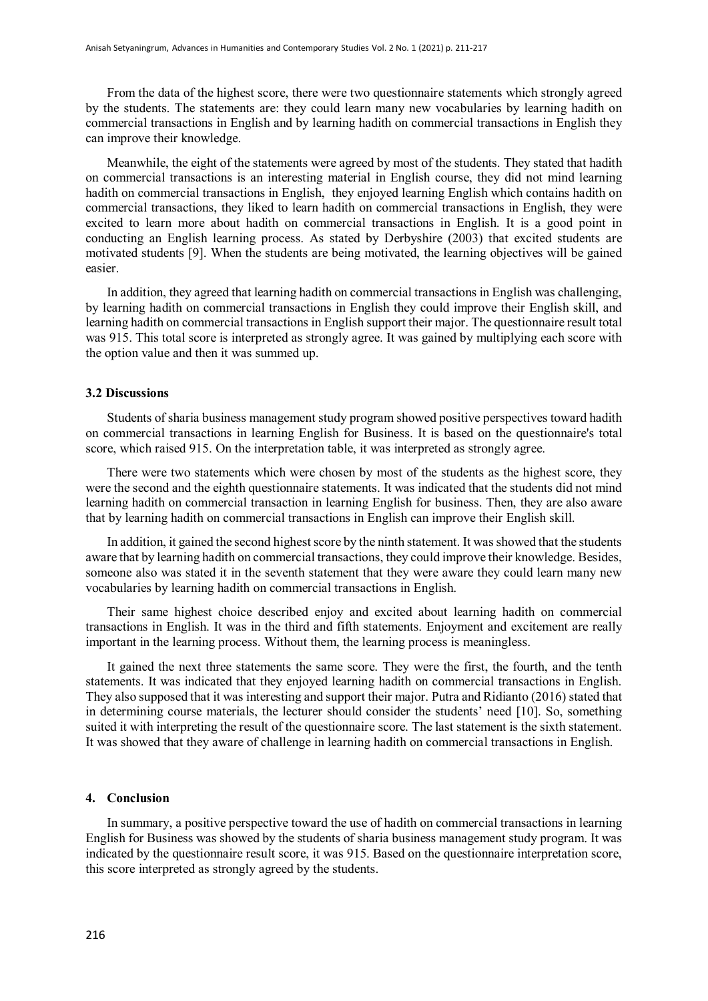From the data of the highest score, there were two questionnaire statements which strongly agreed by the students. The statements are: they could learn many new vocabularies by learning hadith on commercial transactions in English and by learning hadith on commercial transactions in English they can improve their knowledge.

Meanwhile, the eight of the statements were agreed by most of the students. They stated that hadith on commercial transactions is an interesting material in English course, they did not mind learning hadith on commercial transactions in English, they enjoyed learning English which contains hadith on commercial transactions, they liked to learn hadith on commercial transactions in English, they were excited to learn more about hadith on commercial transactions in English. It is a good point in conducting an English learning process. As stated by Derbyshire (2003) that excited students are motivated students [9]. When the students are being motivated, the learning objectives will be gained easier.

In addition, they agreed that learning hadith on commercial transactions in English was challenging, by learning hadith on commercial transactions in English they could improve their English skill, and learning hadith on commercial transactions in English support their major. The questionnaire result total was 915. This total score is interpreted as strongly agree. It was gained by multiplying each score with the option value and then it was summed up.

#### **3.2 Discussions**

Students of sharia business management study program showed positive perspectives toward hadith on commercial transactions in learning English for Business. It is based on the questionnaire's total score, which raised 915. On the interpretation table, it was interpreted as strongly agree.

There were two statements which were chosen by most of the students as the highest score, they were the second and the eighth questionnaire statements. It was indicated that the students did not mind learning hadith on commercial transaction in learning English for business. Then, they are also aware that by learning hadith on commercial transactions in English can improve their English skill.

In addition, it gained the second highest score by the ninth statement. It was showed that the students aware that by learning hadith on commercial transactions, they could improve their knowledge. Besides, someone also was stated it in the seventh statement that they were aware they could learn many new vocabularies by learning hadith on commercial transactions in English.

Their same highest choice described enjoy and excited about learning hadith on commercial transactions in English. It was in the third and fifth statements. Enjoyment and excitement are really important in the learning process. Without them, the learning process is meaningless.

It gained the next three statements the same score. They were the first, the fourth, and the tenth statements. It was indicated that they enjoyed learning hadith on commercial transactions in English. They also supposed that it was interesting and support their major. Putra and Ridianto (2016) stated that in determining course materials, the lecturer should consider the students' need [10]. So, something suited it with interpreting the result of the questionnaire score. The last statement is the sixth statement. It was showed that they aware of challenge in learning hadith on commercial transactions in English.

#### **4. Conclusion**

In summary, a positive perspective toward the use of hadith on commercial transactions in learning English for Business was showed by the students of sharia business management study program. It was indicated by the questionnaire result score, it was 915. Based on the questionnaire interpretation score, this score interpreted as strongly agreed by the students.